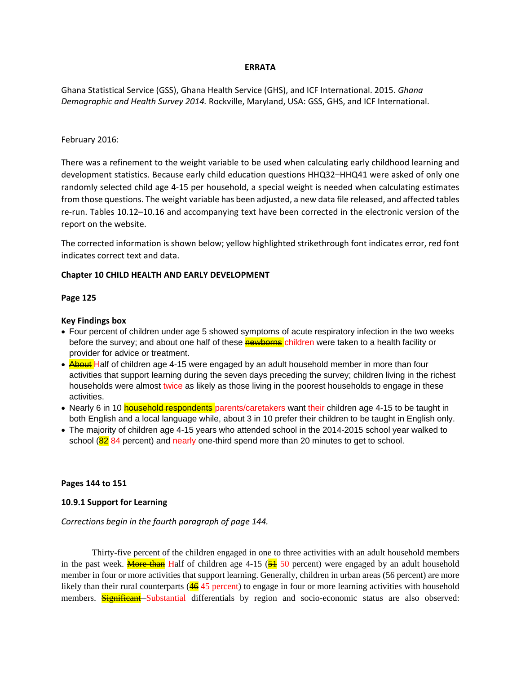# **ERRATA**

Ghana Statistical Service (GSS), Ghana Health Service (GHS), and ICF International. 2015. *Ghana Demographic and Health Survey 2014.* Rockville, Maryland, USA: GSS, GHS, and ICF International.

# February 2016:

There was a refinement to the weight variable to be used when calculating early childhood learning and development statistics. Because early child education questions HHQ32–HHQ41 were asked of only one randomly selected child age 4‐15 per household, a special weight is needed when calculating estimates from those questions. The weight variable has been adjusted, a new data file released, and affected tables re-run. Tables 10.12–10.16 and accompanying text have been corrected in the electronic version of the report on the website.

The corrected information is shown below; yellow highlighted strikethrough font indicates error, red font indicates correct text and data.

# **Chapter 10 CHILD HEALTH AND EARLY DEVELOPMENT**

# **Page 125**

# **Key Findings box**

- Four percent of children under age 5 showed symptoms of acute respiratory infection in the two weeks before the survey; and about one half of these newborns children were taken to a health facility or provider for advice or treatment.
- About Half of children age 4-15 were engaged by an adult household member in more than four activities that support learning during the seven days preceding the survey; children living in the richest households were almost twice as likely as those living in the poorest households to engage in these activities.
- Nearly 6 in 10 household respondents parents/caretakers want their children age 4-15 to be taught in both English and a local language while, about 3 in 10 prefer their children to be taught in English only.
- The majority of children age 4-15 years who attended school in the 2014-2015 school year walked to school  $(82)$  84 percent) and nearly one-third spend more than 20 minutes to get to school.

# **Pages 144 to 151**

# **10.9.1 Support for Learning**

*Corrections begin in the fourth paragraph of page 144.*

Thirty-five percent of the children engaged in one to three activities with an adult household members in the past week. More than Half of children age 4-15 ( $\frac{51}{10}$  50 percent) were engaged by an adult household member in four or more activities that support learning. Generally, children in urban areas (56 percent) are more likely than their rural counterparts (46 45 percent) to engage in four or more learning activities with household members. **Significant**-Substantial differentials by region and socio-economic status are also observed: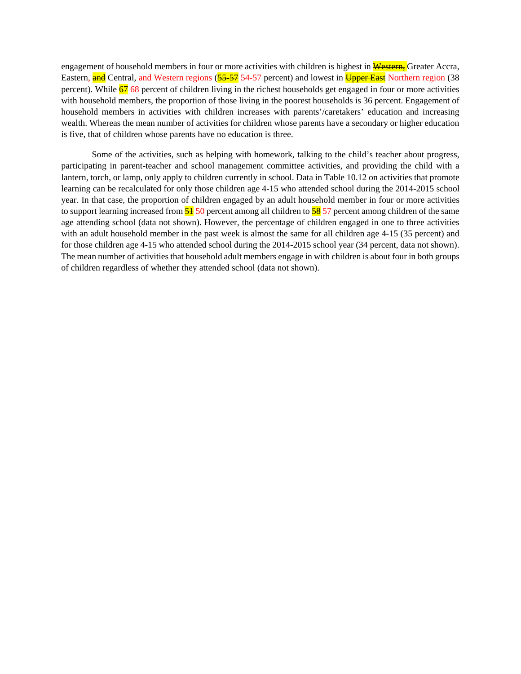engagement of household members in four or more activities with children is highest in Western, Greater Accra, Eastern, **and** Central, and Western regions (55-57 54-57 percent) and lowest in Upper East Northern region (38 percent). While  $\frac{67}{68}$  percent of children living in the richest households get engaged in four or more activities with household members, the proportion of those living in the poorest households is 36 percent. Engagement of household members in activities with children increases with parents'/caretakers' education and increasing wealth. Whereas the mean number of activities for children whose parents have a secondary or higher education is five, that of children whose parents have no education is three.

Some of the activities, such as helping with homework, talking to the child's teacher about progress, participating in parent-teacher and school management committee activities, and providing the child with a lantern, torch, or lamp, only apply to children currently in school. Data in Table 10.12 on activities that promote learning can be recalculated for only those children age 4-15 who attended school during the 2014-2015 school year. In that case, the proportion of children engaged by an adult household member in four or more activities to support learning increased from  $\frac{51}{50}$  percent among all children to  $\frac{58}{57}$  percent among children of the same age attending school (data not shown). However, the percentage of children engaged in one to three activities with an adult household member in the past week is almost the same for all children age 4-15 (35 percent) and for those children age 4-15 who attended school during the 2014-2015 school year (34 percent, data not shown). The mean number of activities that household adult members engage in with children is about four in both groups of children regardless of whether they attended school (data not shown).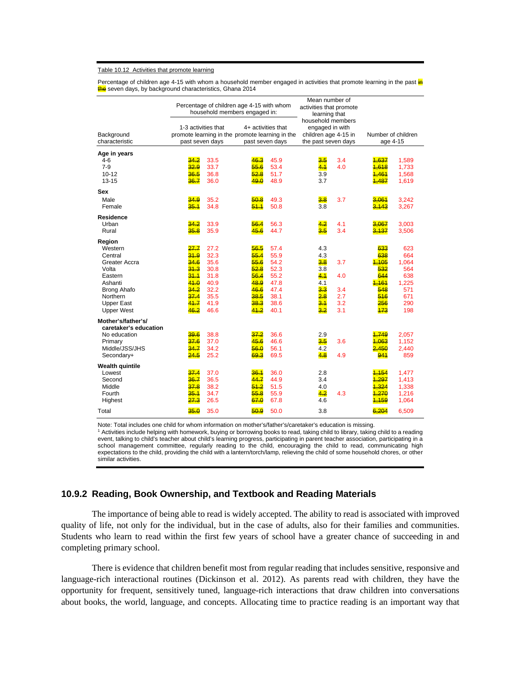## Table 10.12 Activities that promote learning

Percentage of children age 4-15 with whom a household member engaged in activities that promote learning in the past in he seven days, by background characteristics, Ghana 2014

|                              |                     |              | Percentage of children age 4-15 with whom<br>household members engaged in: | Mean number of<br>activities that promote<br>learning that |                                             |            |                                |                |  |  |  |
|------------------------------|---------------------|--------------|----------------------------------------------------------------------------|------------------------------------------------------------|---------------------------------------------|------------|--------------------------------|----------------|--|--|--|
|                              | 1-3 activities that |              | 4+ activities that                                                         |                                                            | household members<br>engaged in with        |            |                                |                |  |  |  |
| Background<br>characteristic | past seven days     |              | promote learning in the promote learning in the<br>past seven days         |                                                            | children age 4-15 in<br>the past seven days |            | Number of children<br>age 4-15 |                |  |  |  |
|                              |                     |              |                                                                            |                                                            |                                             |            |                                |                |  |  |  |
| Age in years                 |                     |              |                                                                            |                                                            |                                             |            |                                |                |  |  |  |
| $4-6$<br>$7-9$               | 34.2<br>32.9        | 33.5<br>33.7 | 46.3<br>55.6                                                               | 45.9<br>53.4                                               | 3.5<br>4.1                                  | 3.4<br>4.0 | 1,637<br>1.618                 | 1,589<br>1,733 |  |  |  |
| $10 - 12$                    | 36.5                | 36.8         | 52.8                                                                       | 51.7                                                       | 3.9                                         |            | 1,461                          | 1,568          |  |  |  |
| $13 - 15$                    | 36.7                | 36.0         | 49.0                                                                       | 48.9                                                       | 3.7                                         |            | 1,487                          | 1,619          |  |  |  |
| Sex                          |                     |              |                                                                            |                                                            |                                             |            |                                |                |  |  |  |
| Male                         | 34.9                | 35.2         | 50.8                                                                       | 49.3                                                       | 3.8                                         | 3.7        | 3,061                          | 3,242          |  |  |  |
| Female                       | <u>35.1</u>         | 34.8         | 51.1                                                                       | 50.8                                                       | 3.8                                         |            | 3,143                          | 3,267          |  |  |  |
| <b>Residence</b>             |                     |              |                                                                            |                                                            |                                             |            |                                |                |  |  |  |
| Urban                        | 34.2                | 33.9         | 56.4                                                                       | 56.3                                                       | 4.2                                         | 4.1        | <del>3.067</del>               | 3,003          |  |  |  |
| Rural                        | 35.8                | 35.9         | 45.6                                                                       | 44.7                                                       | 3.5                                         | 3.4        | 3,137                          | 3,506          |  |  |  |
| Region                       |                     |              |                                                                            |                                                            |                                             |            |                                |                |  |  |  |
| Western                      | 27.7                | 27.2         | 56.5                                                                       | 57.4                                                       | 4.3                                         |            | 633                            | 623            |  |  |  |
| Central                      | 31.9                | 32.3         | 55.4                                                                       | 55.9                                                       | 4.3                                         |            | 638                            | 664            |  |  |  |
| Greater Accra<br>Volta       | 34.6<br>31.3        | 35.6<br>30.8 | 55.6<br>52.8                                                               | 54.2<br>52.3                                               | 3.8<br>3.8                                  | 3.7        | 1,105<br>532                   | 1.064<br>564   |  |  |  |
| Eastern                      | 31.1                | 31.8         | 56.4                                                                       | 55.2                                                       | 4.1                                         | 4.0        | 644                            | 638            |  |  |  |
| Ashanti                      | 41.0                | 40.9         | 48.9                                                                       | 47.8                                                       | 4.1                                         |            | 1,161                          | 1.225          |  |  |  |
| <b>Brong Ahafo</b>           | 34.2                | 32.2         | 46.6                                                                       | 47.4                                                       | 3.3                                         | 3.4        | 548                            | 571            |  |  |  |
| Northern                     | 37.4                | 35.5         | 38.5                                                                       | 38.1                                                       | 2.8                                         | 2.7        | 516                            | 671            |  |  |  |
| <b>Upper East</b>            | 41.7                | 41.9         | 38.3                                                                       | 38.6                                                       | 3.1                                         | 3.2        | 256                            | 290            |  |  |  |
| <b>Upper West</b>            | 46.2                | 46.6         | 41.2                                                                       | 40.1                                                       | 3.2                                         | 3.1        | 473                            | 198            |  |  |  |
| Mother's/father's/           |                     |              |                                                                            |                                                            |                                             |            |                                |                |  |  |  |
| caretaker's education        |                     | 38.8         | 37.2                                                                       | 36.6                                                       |                                             |            |                                |                |  |  |  |
| No education<br>Primary      | 39.6<br>37.6        | 37.0         | 45.6                                                                       | 46.6                                                       | 2.9<br>3.5                                  | 3.6        | 1.749<br>4,063                 | 2,057<br>1,152 |  |  |  |
| Middle/JSS/JHS               | 34.7                | 34.2         | 56.0                                                                       | 56.1                                                       | 4.2                                         |            | 2,450                          | 2,440          |  |  |  |
| Secondary+                   | 24.5                | 25.2         | 69.3                                                                       | 69.5                                                       | 4.8                                         | 4.9        | 941                            | 859            |  |  |  |
| <b>Wealth quintile</b>       |                     |              |                                                                            |                                                            |                                             |            |                                |                |  |  |  |
| Lowest                       | 37.4                | 37.0         | 36.1                                                                       | 36.0                                                       | 2.8                                         |            | 1,154                          | 1,477          |  |  |  |
| Second                       | 36.7                | 36.5         | 44.7                                                                       | 44.9                                                       | 3.4                                         |            | 1,297                          | 1,413          |  |  |  |
| Middle                       | 37.8                | 38.2         | 51.2                                                                       | 51.5                                                       | 4.0                                         |            | 1.324                          | 1,338          |  |  |  |
| Fourth                       | 35.1                | 34.7         | 55.8                                                                       | 55.9                                                       | 4.2                                         | 4.3        | 1,270                          | 1,216          |  |  |  |
| Highest                      | 27.3                | 26.5         | 67.0                                                                       | 67.8                                                       | 4.6                                         |            | <u>1.159</u>                   | 1,064          |  |  |  |
| Total                        | 35.0                | 35.0         | 50.9                                                                       | 50.0                                                       | 3.8                                         |            | 6.204                          | 6,509          |  |  |  |

Note: Total includes one child for whom information on mother's/father's/caretaker's education is missing. 1

<sup>1</sup> Activities include helping with homework, buying or borrowing books to read, taking child to library, taking child to a reading event, talking to child's teacher about child's learning progress, participating in parent teacher association, participating in a school management committee, regularly reading to the child, encouraging the child to read, communicating high expectations to the child, providing the child with a lantern/torch/lamp, relieving the child of some household chores, or other similar activities.

# **10.9.2 Reading, Book Ownership, and Textbook and Reading Materials**

The importance of being able to read is widely accepted. The ability to read is associated with improved quality of life, not only for the individual, but in the case of adults, also for their families and communities. Students who learn to read within the first few years of school have a greater chance of succeeding in and completing primary school.

There is evidence that children benefit most from regular reading that includes sensitive, responsive and language-rich interactional routines (Dickinson et al. 2012). As parents read with children, they have the opportunity for frequent, sensitively tuned, language-rich interactions that draw children into conversations about books, the world, language, and concepts. Allocating time to practice reading is an important way that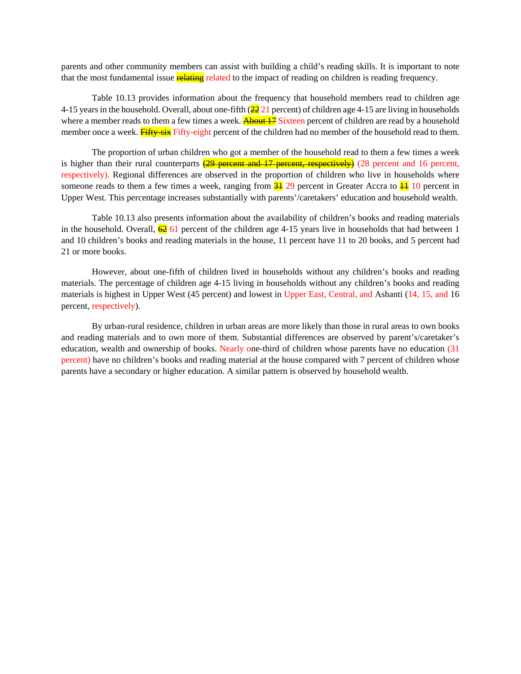parents and other community members can assist with building a child's reading skills. It is important to note that the most fundamental issue **relating** related to the impact of reading on children is reading frequency.

Table 10.13 provides information about the frequency that household members read to children age 4-15 years in the household. Overall, about one-fifth  $\left(\frac{22}{2}\right)$  percent) of children age 4-15 are living in households where a member reads to them a few times a week. About 17 Sixteen percent of children are read by a household member once a week. Fifty-six Fifty-eight percent of the children had no member of the household read to them.

The proportion of urban children who got a member of the household read to them a few times a week is higher than their rural counterparts  $\frac{29}{29}$  percent and 17 percent, respectively) (28 percent and 16 percent, respectively). Regional differences are observed in the proportion of children who live in households where someone reads to them a few times a week, ranging from  $\frac{31}{21}$  29 percent in Greater Accra to  $\frac{11}{11}$  10 percent in Upper West. This percentage increases substantially with parents'/caretakers' education and household wealth.

Table 10.13 also presents information about the availability of children's books and reading materials in the household. Overall,  $\frac{62}{61}$  percent of the children age 4-15 years live in households that had between 1 and 10 children's books and reading materials in the house, 11 percent have 11 to 20 books, and 5 percent had 21 or more books.

However, about one-fifth of children lived in households without any children's books and reading materials. The percentage of children age 4-15 living in households without any children's books and reading materials is highest in Upper West (45 percent) and lowest in Upper East, Central, and Ashanti (14, 15, and 16 percent, respectively).

By urban-rural residence, children in urban areas are more likely than those in rural areas to own books and reading materials and to own more of them. Substantial differences are observed by parent's/caretaker's education, wealth and ownership of books. Nearly one-third of children whose parents have no education (31 percent) have no children's books and reading material at the house compared with 7 percent of children whose parents have a secondary or higher education. A similar pattern is observed by household wealth.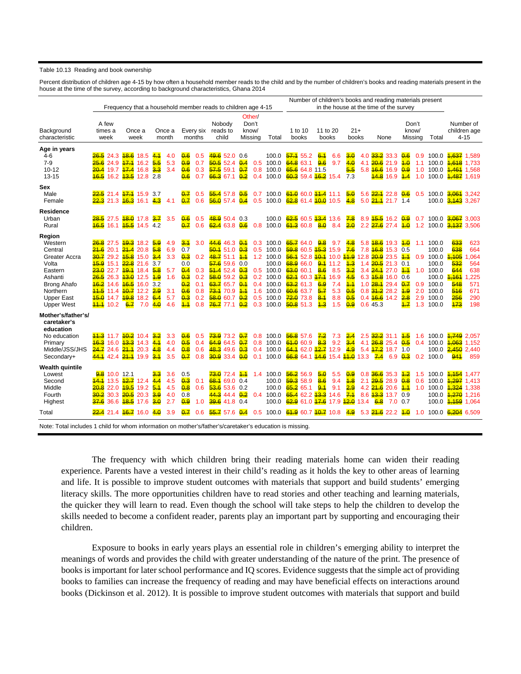#### Table 10.13 Reading and book ownership

Percent distribution of children age 4-15 by how often a household member reads to the child and by the number of children's books and reading materials present in the house at the time of the survey, according to background characteristics, Ghana 2014

| Total<br>100.0<br>100.0<br>100.0<br>1.0                                                                     | Number of<br>children age<br>4-15<br>1.637<br>1.589<br>1.618<br>1,733                                                                                        |
|-------------------------------------------------------------------------------------------------------------|--------------------------------------------------------------------------------------------------------------------------------------------------------------|
|                                                                                                             |                                                                                                                                                              |
|                                                                                                             | <del>1,461</del> 1,568<br><del>1,487</del> 1,619                                                                                                             |
| 100.0<br>100.0                                                                                              | 3.242<br>3.061<br>3,143 3,267                                                                                                                                |
| 0.7<br>100.0<br>1.2<br>100.0                                                                                | 3.003<br>3.067<br>3,137<br>3.506                                                                                                                             |
| 1.1<br>100.0<br>100.0<br>100.0<br>100.0<br>100.0<br>1.0<br>100.0<br>0.9<br>100.0<br>100.0<br>100.0<br>100.0 | 633<br>623<br>638<br>664<br><b>1,105</b><br>.064<br>532<br>564<br>638<br>644<br><b>1,161</b><br>,225<br>548<br>571<br>516<br>671<br>256<br>290<br>173<br>198 |
| 100.0<br>0.4<br>100.0<br>100.0<br>0.2<br>100.0                                                              | 2.057<br>1.749<br>4.063<br>1,152<br>2,450<br>2,440<br>941<br>859                                                                                             |
| 1.5<br>100.0<br>100.0<br>100.0<br>100.0<br>100.0                                                            | 1.154<br>1.477<br>1.297<br>1,413<br>1,324<br>1,338<br><b>1,270</b><br>1,216<br><u>1,159</u><br>1,064<br>6.204 6.509                                          |
|                                                                                                             | 100.0<br>100.0                                                                                                                                               |

Note: Total includes 1 child for whom information on mother's/father's/caretaker's education is missing.

The frequency with which children bring their reading materials home can widen their reading experience. Parents have a vested interest in their child's reading as it holds the key to other areas of learning and life. It is possible to improve student outcomes with materials that support and build students' emerging literacy skills. The more opportunities children have to read stories and other teaching and learning materials, the quicker they will learn to read. Even though the school will take steps to help the children to develop the skills needed to become a confident reader, parents play an important part by supporting and encouraging their children.

Exposure to books in early years plays an essential role in children's emerging ability to interpret the meanings of words and provides the child with greater understanding of the nature of the print. The presence of books is important for later school performance and IQ scores. Evidence suggests that the simple act of providing books to families can increase the frequency of reading and may have beneficial effects on interactions around books (Dickinson et al. 2012). It is possible to improve student outcomes with materials that support and build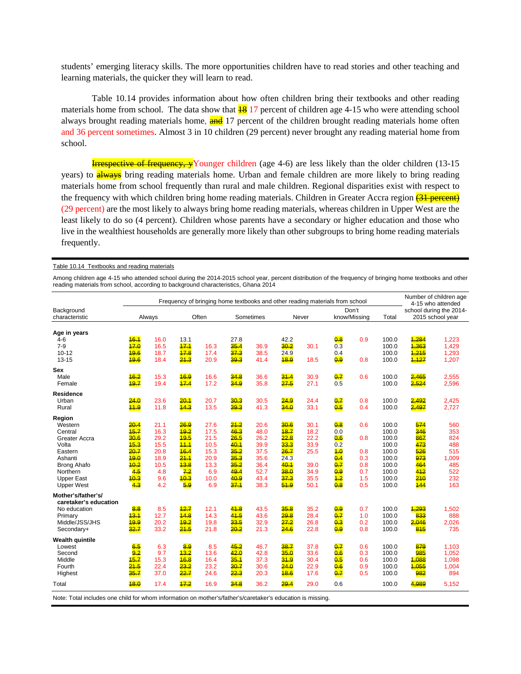students' emerging literacy skills. The more opportunities children have to read stories and other teaching and learning materials, the quicker they will learn to read.

Table 10.14 provides information about how often children bring their textbooks and other reading materials home from school. The data show that  $\frac{18}{17}$  percent of children age 4-15 who were attending school always brought reading materials home, and 17 percent of the children brought reading materials home often and 36 percent sometimes. Almost 3 in 10 children (29 percent) never brought any reading material home from school.

**Irrespective of frequency, y**Younger children (age 4-6) are less likely than the older children (13-15 years) to **always** bring reading materials home. Urban and female children are more likely to bring reading materials home from school frequently than rural and male children. Regional disparities exist with respect to the frequency with which children bring home reading materials. Children in Greater Accra region  $(31 \text{ percent})$ (29 percent) are the most likely to always bring home reading materials, whereas children in Upper West are the least likely to do so (4 percent). Children whose parents have a secondary or higher education and those who live in the wealthiest households are generally more likely than other subgroups to bring home reading materials frequently.

## Table 10.14 Textbooks and reading materials

Among children age 4-15 who attended school during the 2014-2015 school year, percent distribution of the frequency of bringing home textbooks and other reading materials from school, according to background characteristics, Ghana 2014

|                                                                                                           |             | Number of children age<br>4-15 who attended |      |       |                   |           |             |                                                                              |     |              |       |                  |                         |  |
|-----------------------------------------------------------------------------------------------------------|-------------|---------------------------------------------|------|-------|-------------------|-----------|-------------|------------------------------------------------------------------------------|-----|--------------|-------|------------------|-------------------------|--|
| Background                                                                                                |             |                                             |      |       |                   |           |             | Frequency of bringing home textbooks and other reading materials from school |     | Don't        |       |                  | school during the 2014- |  |
| characteristic                                                                                            | Always      |                                             |      | Often |                   | Sometimes |             | Never                                                                        |     | know/Missing | Total | 2015 school year |                         |  |
| Age in years                                                                                              |             |                                             |      |       |                   |           |             |                                                                              |     |              |       |                  |                         |  |
| $4 - 6$                                                                                                   | 16.1        | 16.0                                        | 13.1 |       | 27.8              |           | 42.2        |                                                                              | 0.8 | 0.9          | 100.0 | 1,284            | 1,223                   |  |
| $7-9$                                                                                                     | 17.0        | 16.5                                        | 47.1 | 16.3  | 35.4              | 36.9      | 30.2        | 30.1                                                                         | 0.3 |              | 100.0 | 1,363            | 1,429                   |  |
| $10 - 12$                                                                                                 | 19.6        | 18.7                                        | 47.8 | 17.4  | 37.3              | 38.5      | 24.9        |                                                                              | 0.4 |              | 100.0 | 1,215            | 1,293                   |  |
| $13 - 15$                                                                                                 | <b>19.6</b> | 18.4                                        | 21.3 | 20.9  | 39.3              | 41.4      | <b>18.9</b> | 18.5                                                                         | 0.9 | 0.8          | 100.0 | 1,127            | 1,207                   |  |
| <b>Sex</b>                                                                                                |             |                                             |      |       |                   |           |             |                                                                              |     |              |       |                  |                         |  |
| Male                                                                                                      | 16.2        | 15.3                                        | 46.9 | 16.6  | 34.8              | 36.6      | 31.4        | 30.9                                                                         | 0.7 | 0.6          | 100.0 | 2,465            | 2,555                   |  |
| Female                                                                                                    | 19.7        | 19.4                                        | 17.4 | 17.2  | 34.9              | 35.8      | 27.5        | 27.1                                                                         | 0.5 |              | 100.0 | 2,524            | 2,596                   |  |
| Residence                                                                                                 |             |                                             |      |       |                   |           |             |                                                                              |     |              |       |                  |                         |  |
| Urban                                                                                                     | 24.0        | 23.6                                        | 20.1 | 20.7  | 30.3              | 30.5      | 24.9        | 24.4                                                                         | 0.7 | 0.8          | 100.0 | 2,492            | 2,425                   |  |
| Rural                                                                                                     | 11.9        | 11.8                                        | 14.3 | 13.5  | 39.3              | 41.3      | 34.0        | 33.1                                                                         | 0.5 | 0.4          | 100.0 | 2,497            | 2,727                   |  |
| Region                                                                                                    |             |                                             |      |       |                   |           |             |                                                                              |     |              |       |                  |                         |  |
| Western                                                                                                   | 20.4        | 21.1                                        | 26.9 | 27.6  | 21.2              | 20.6      | 30.6        | 30.1                                                                         | 0.8 | 0.6          | 100.0 | 574              | 560                     |  |
| Central                                                                                                   | 15.7        | 16.3                                        | 49.2 | 17.5  | 46.3              | 48.0      | 18.7        | 18.2                                                                         | 0.0 |              | 100.0 | 346              | 353                     |  |
| Greater Accra                                                                                             | 30.6        | 29.2                                        | 49.5 | 21.5  | 26.5              | 26.2      | 22.8        | 22.2                                                                         | 0.6 | 0.8          | 100.0 | 867              | 824                     |  |
| Volta                                                                                                     | 15.3        | 15.5                                        | 44.4 | 10.5  | 40.1              | 39.9      | 33.3        | 33.9                                                                         | 0.2 |              | 100.0 | 473              | 488                     |  |
| Eastern                                                                                                   | 20.7        | 20.8                                        | 46.4 | 15.3  | 35.2              | 37.5      | 26.7        | 25.5                                                                         | 4.0 | 0.8          | 100.0 | 526              | 515                     |  |
| Ashanti                                                                                                   | 19.0        | 18.9                                        | 21.1 | 20.9  | 35.3              | 35.6      | 24.3        |                                                                              | 0.4 | 0.3          | 100.0 | 973              | 1.009                   |  |
| <b>Brong Ahafo</b>                                                                                        | 40.2        | 10.5                                        | 43.8 | 13.3  | 35.2              | 36.4      | 40.1        | 39.0                                                                         | 0.7 | 0.8          | 100.0 | 464              | 485                     |  |
| Northern                                                                                                  | 4.5         | 4.8                                         | 7.2  | 6.9   | 49.4              | 52.7      | 38.0        | 34.9                                                                         | 0.9 | 0.7          | 100.0 | 412              | 522                     |  |
| <b>Upper East</b>                                                                                         | 40.3        | 9.6                                         | 40.3 | 10.0  | 40.9              | 43.4      | 37.3        | 35.5                                                                         | 4.2 | 1.5          | 100.0 | 210              | 232                     |  |
| <b>Upper West</b>                                                                                         | 4.3         | 4.2                                         | 5.9  | 6.9   | 37.1              | 38.3      | 51.9        | 50.1                                                                         | 0.8 | 0.5          | 100.0 | 144              | 163                     |  |
| Mother's/father's/                                                                                        |             |                                             |      |       |                   |           |             |                                                                              |     |              |       |                  |                         |  |
| caretaker's education                                                                                     | 8.8         | 8.5                                         | 12.7 | 12.1  | 41.8              | 43.5      | 35.8        | 35.2                                                                         | 0.9 | 0.7          | 100.0 | 1,293            | 1,502                   |  |
| No education<br>Primary                                                                                   | 13.1        | 12.7                                        | 44.8 | 14.3  | 41.5              | 43.6      | 29.8        | 28.4                                                                         | 0.7 | 1.0          | 100.0 | 833              | 888                     |  |
| Middle/JSS/JHS                                                                                            | 19.9        | 20.2                                        | 49.2 | 19.8  | 33.5              | 32.9      | 27.2        | 26.8                                                                         | 0.3 | 0.2          | 100.0 | 2,046            | 2,026                   |  |
|                                                                                                           | 32.7        | 33.2                                        | 21.5 | 21.8  | 20.2              | 21.3      | 24.6        | 22.8                                                                         | 0.9 | 0.8          |       |                  | 735                     |  |
| Secondary+                                                                                                |             |                                             |      |       |                   |           |             |                                                                              |     |              | 100.0 | 815              |                         |  |
| <b>Wealth quintile</b>                                                                                    |             |                                             |      |       |                   |           |             |                                                                              |     |              |       |                  |                         |  |
| Lowest                                                                                                    | 6.5         | 6.3                                         | 8.9  | 8.5   | 45.2              | 46.7      | 38.7        | 37.8                                                                         | 0.7 | 0.6          | 100.0 | 879              | 1,103                   |  |
| Second                                                                                                    | 9.2         | 9.7                                         | 43.2 | 13.6  | 42.0              | 42.8      | 35.0        | 33.6                                                                         | 0.6 | 0.3          | 100.0 | 985              | 1,052                   |  |
| Middle                                                                                                    | 15.7        | 15.3                                        | 16.8 | 16.4  | 35.1              | 37.3      | 31.9        | 30.4                                                                         | 0.5 | 0.6          | 100.0 | 1,088            | 1,098                   |  |
| Fourth                                                                                                    | 21.5        | 22.4                                        | 23.2 | 23.2  | 30.7              | 30.6      | 24.0        | 22.9                                                                         | 0.6 | 0.9          | 100.0 | 4,055            | 1,004                   |  |
| Highest                                                                                                   | 35.7        | 37.0                                        | 22.7 | 24.6  | <mark>22.3</mark> | 20.3      | <b>18.6</b> | 17.6                                                                         | 0.7 | 0.5          | 100.0 | <b>982</b>       | 894                     |  |
| Total                                                                                                     | 18.0        | 17.4                                        | 47.2 | 16.9  | 34.8              | 36.2      | 29.4        | 29.0                                                                         | 0.6 |              | 100.0 | 4,989            | 5,152                   |  |
| Note: Total includes one child for whom information on mother's/father's/caretaker's education is missing |             |                                             |      |       |                   |           |             |                                                                              |     |              |       |                  |                         |  |

Note: Total includes one child for whom information on mother's/father's/caretaker's education is missing.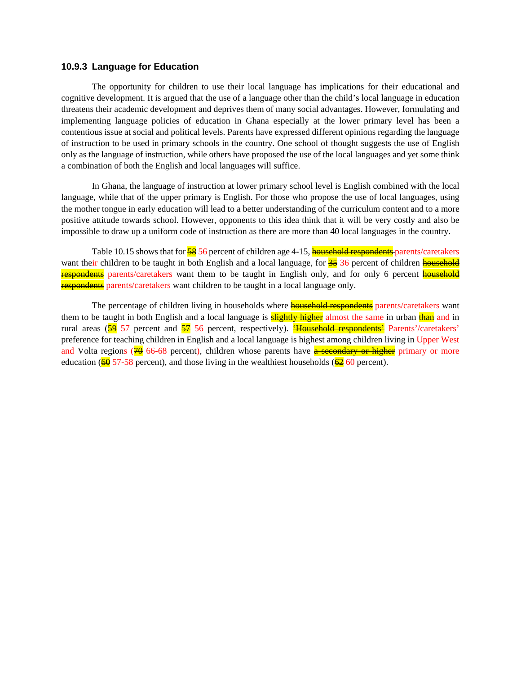## **10.9.3 Language for Education**

The opportunity for children to use their local language has implications for their educational and cognitive development. It is argued that the use of a language other than the child's local language in education threatens their academic development and deprives them of many social advantages. However, formulating and implementing language policies of education in Ghana especially at the lower primary level has been a contentious issue at social and political levels. Parents have expressed different opinions regarding the language of instruction to be used in primary schools in the country. One school of thought suggests the use of English only as the language of instruction, while others have proposed the use of the local languages and yet some think a combination of both the English and local languages will suffice.

In Ghana, the language of instruction at lower primary school level is English combined with the local language, while that of the upper primary is English. For those who propose the use of local languages, using the mother tongue in early education will lead to a better understanding of the curriculum content and to a more positive attitude towards school. However, opponents to this idea think that it will be very costly and also be impossible to draw up a uniform code of instruction as there are more than 40 local languages in the country.

Table 10.15 shows that for 58 56 percent of children age 4-15, **household respondents** parents/caretakers want their children to be taught in both English and a local language, for **35** 36 percent of children **household respondents** parents/caretakers want them to be taught in English only, and for only 6 percent **household** respondents parents/caretakers want children to be taught in a local language only.

The percentage of children living in households where **household respondents** parents/caretakers want them to be taught in both English and a local language is **slightly higher** almost the same in urban than and in rural areas (59 57 percent and 57 56 percent, respectively). <del>'Household respondents'</del> Parents'/caretakers' preference for teaching children in English and a local language is highest among children living in Upper West and Volta regions ( $\frac{70}{6}$  66-68 percent), children whose parents have  $\frac{1}{\alpha}$  secondary or higher primary or more education ( $\frac{60}{60}$  57-58 percent), and those living in the wealthiest households ( $\frac{62}{62}$  60 percent).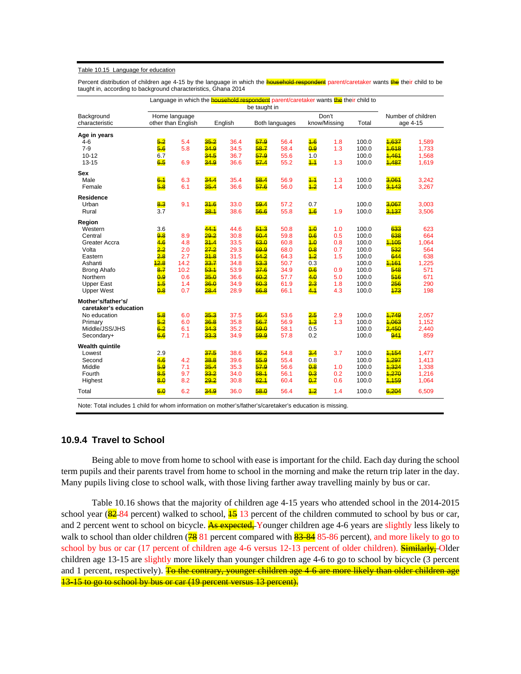## Table 10.15 Language for education

Percent distribution of children age 4-15 by the language in which the <mark>household respondent</mark> parent/caretaker wants <mark>the</mark> their child to be<br>taught in, according to background characteristics, Ghana 2014

|                                             | Language in which the <b>household respondent</b> parent/caretaker wants the their child to |      |         |      |              |                |                  |                       |       |                                |       |
|---------------------------------------------|---------------------------------------------------------------------------------------------|------|---------|------|--------------|----------------|------------------|-----------------------|-------|--------------------------------|-------|
| Background<br>characteristic                | Home language<br>other than English                                                         |      | English |      | be taught in | Both languages |                  | Don't<br>know/Missing | Total | Number of children<br>age 4-15 |       |
| Age in years                                |                                                                                             |      |         |      |              |                |                  |                       |       |                                |       |
| 4-6                                         | 5.2                                                                                         | 5.4  | 35.2    | 36.4 | 57.9         | 56.4           | 4.6              | 1.8                   | 100.0 | 1,637                          | 1,589 |
| $7 - 9$                                     | 5.6                                                                                         | 5.8  | 34.9    | 34.5 | 58.7         | 58.4           | 0.9              | 1.3                   | 100.0 | 1,618                          | 1,733 |
| $10 - 12$                                   | 6.7                                                                                         |      | 34.5    | 36.7 | 57.9         | 55.6           | 1.0              |                       | 100.0 | <b>1,461</b>                   | 1,568 |
| $13 - 15$                                   | 6.5                                                                                         | 6.9  | 34.9    | 36.6 | 57.4         | 55.2           | 1.1              | 1.3                   | 100.0 | <b>1,487</b>                   | 1,619 |
| Sex                                         |                                                                                             |      |         |      |              |                |                  |                       |       |                                |       |
| Male                                        | 6.1                                                                                         | 6.3  | 34.4    | 35.4 | 58.4         | 56.9           | 1.1              | 1.3                   | 100.0 | 3.061                          | 3,242 |
| Female                                      | 5.8                                                                                         | 6.1  | 35.4    | 36.6 | 57.6         | 56.0           | $+2$             | 1.4                   | 100.0 | 3,143                          | 3,267 |
| <b>Residence</b>                            |                                                                                             |      |         |      |              |                |                  |                       |       |                                |       |
| Urban                                       | 8.3                                                                                         | 9.1  | 31.6    | 33.0 | 59.4         | 57.2           | 0.7              |                       | 100.0 | 3,067                          | 3,003 |
| Rural                                       | 3.7                                                                                         |      | 38.1    | 38.6 | 56.6         | 55.8           | 4.6              | 1.9                   | 100.0 | 3,137                          | 3,506 |
| Region                                      |                                                                                             |      |         |      |              |                |                  |                       |       |                                |       |
| Western                                     | 3.6                                                                                         |      | 44.1    | 44.6 | 51.3         | 50.8           | 4.0              | 1.0                   | 100.0 | 633                            | 623   |
| Central                                     | 9.8                                                                                         | 8.9  | 29.2    | 30.8 | 60.4         | 59.8           | 0.6              | 0.5                   | 100.0 | 638                            | 664   |
| Greater Accra                               | 4.6                                                                                         | 4.8  | 31.4    | 33.5 | 63.0         | 60.8           | 4.0              | 0.8                   | 100.0 | <b>1,105</b>                   | 1.064 |
| Volta                                       | 2.2                                                                                         | 2.0  | 27.2    | 29.3 | 69.9         | 68.0           | 0.8              | 0.7                   | 100.0 | 532                            | 564   |
| Eastern                                     | 2.8                                                                                         | 2.7  | 31.8    | 31.5 | 64.2         | 64.3           | $+2$             | 1.5                   | 100.0 | 644                            | 638   |
| Ashanti                                     | 12.8                                                                                        | 14.2 | 33.7    | 34.8 | 53.3         | 50.7           | 0.3              |                       | 100.0 | <b>1,161</b>                   | 1,225 |
| <b>Brong Ahafo</b>                          | 8.7                                                                                         | 10.2 | 53.1    | 53.9 | 37.6         | 34.9           | 0.6              | 0.9                   | 100.0 | 548                            | 571   |
| Northern                                    | 0.9                                                                                         | 0.6  | 35.0    | 36.6 | 60.2         | 57.7           | 4.0              | 5.0                   | 100.0 | 516                            | 671   |
| <b>Upper East</b>                           | 4.5                                                                                         | 1.4  | 36.0    | 34.9 | 60.3         | 61.9           | 2.3              | 1.8                   | 100.0 | 256                            | 290   |
| <b>Upper West</b>                           | 0.8                                                                                         | 0.7  | 28.4    | 28.9 | 66.8         | 66.1           | 4.1              | 4.3                   | 100.0 | <b>173</b>                     | 198   |
| Mother's/father's/<br>caretaker's education |                                                                                             |      |         |      |              |                |                  |                       |       |                                |       |
| No education                                | 5.8                                                                                         | 6.0  | 35.3    | 37.5 | 56.4         | 53.6           | 2.5              | 2.9                   | 100.0 | 1,749                          | 2,057 |
| Primary                                     | 5.2                                                                                         | 6.0  | 36.8    | 35.8 | 56.7         | 56.9           | 4.3              | 1.3                   | 100.0 | 4.063                          | 1,152 |
| Middle/JSS/JHS                              | 6.2                                                                                         | 6.1  | 34.3    | 35.2 | 59.0         | 58.1           | 0.5              |                       | 100.0 | 2,450                          | 2,440 |
| Secondary+                                  | 6.6                                                                                         | 7.1  | 33.3    | 34.9 | 59.9         | 57.8           | 0.2              |                       | 100.0 | 941                            | 859   |
| <b>Wealth quintile</b>                      |                                                                                             |      |         |      |              |                |                  |                       |       |                                |       |
| Lowest                                      | 2.9                                                                                         |      | 37.5    | 38.6 | 56.2         | 54.8           | 3.4              | 3.7                   | 100.0 | 1,154                          | 1,477 |
| Second                                      | 4.6                                                                                         | 4.2  | 38.8    | 39.6 | 55.9         | 55.4           | 0.8              |                       | 100.0 | 1,297                          | 1,413 |
| Middle                                      | 5.9                                                                                         | 7.1  | 35.4    | 35.3 | 57.9         | 56.6           | 0.8              | 1.0                   | 100.0 | 1,324                          | 1,338 |
| Fourth                                      | 8.5                                                                                         | 9.7  | 33.2    | 34.0 | 58.1         | 56.1           | 0.3              | 0.2                   | 100.0 | 1,270                          | 1,216 |
| Highest                                     | 8.0                                                                                         | 8.2  | 29.2    | 30.8 | 62.1         | 60.4           | 0.7              | 0.6                   | 100.0 | <b>1,159</b>                   | 1,064 |
| Total                                       | 6.0                                                                                         | 6.2  | 34.9    | 36.0 | 58.0         | 56.4           | $\overline{1.2}$ | 1.4                   | 100.0 | 6,204                          | 6,509 |

# **10.9.4 Travel to School**

Being able to move from home to school with ease is important for the child. Each day during the school term pupils and their parents travel from home to school in the morning and make the return trip later in the day. Many pupils living close to school walk, with those living farther away travelling mainly by bus or car.

Table 10.16 shows that the majority of children age 4-15 years who attended school in the 2014-2015 school year ( $\frac{82}{84}$  percent) walked to school,  $\frac{15}{13}$  13 percent of the children commuted to school by bus or car, and 2 percent went to school on bicycle. **As expected**. Younger children age 4-6 years are slightly less likely to walk to school than older children  $\frac{78}{81}$  percent compared with  $\frac{83-84}{85-86}$  percent), and more likely to go to school by bus or car (17 percent of children age 4-6 versus 12-13 percent of older children). **Similarly,** Older children age 13-15 are slightly more likely than younger children age 4-6 to go to school by bicycle (3 percent and 1 percent, respectively). To the contrary, younger children age 4-6 are more likely than older children age 13-15 to go to school by bus or car (19 percent versus 13 percent).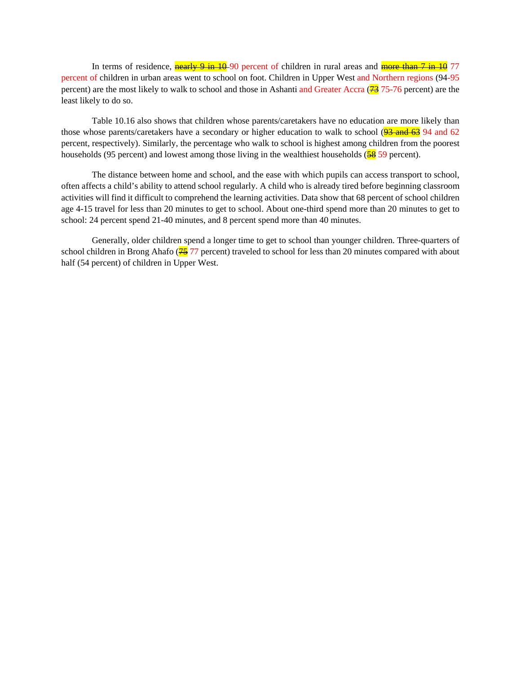In terms of residence, **nearly 9 in 10** 90 percent of children in rural areas and **more than 7 in 10** 77 percent of children in urban areas went to school on foot. Children in Upper West and Northern regions (94-95 percent) are the most likely to walk to school and those in Ashanti and Greater Accra ( $\frac{73}{75}$ -76 percent) are the least likely to do so.

Table 10.16 also shows that children whose parents/caretakers have no education are more likely than those whose parents/caretakers have a secondary or higher education to walk to school  $(93 \text{ and } 63)$  94 and 62 percent, respectively). Similarly, the percentage who walk to school is highest among children from the poorest households (95 percent) and lowest among those living in the wealthiest households ( $\frac{58}{59}$  percent).

The distance between home and school, and the ease with which pupils can access transport to school, often affects a child's ability to attend school regularly. A child who is already tired before beginning classroom activities will find it difficult to comprehend the learning activities. Data show that 68 percent of school children age 4-15 travel for less than 20 minutes to get to school. About one-third spend more than 20 minutes to get to school: 24 percent spend 21-40 minutes, and 8 percent spend more than 40 minutes.

Generally, older children spend a longer time to get to school than younger children. Three-quarters of school children in Brong Ahafo ( $\frac{75}{77}$  percent) traveled to school for less than 20 minutes compared with about half (54 percent) of children in Upper West.